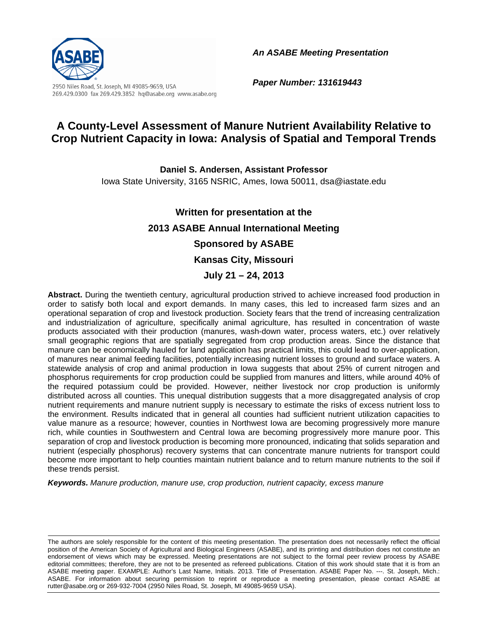

*Paper Number: 131619443* 

# **A County-Level Assessment of Manure Nutrient Availability Relative to Crop Nutrient Capacity in Iowa: Analysis of Spatial and Temporal Trends**

**Daniel S. Andersen, Assistant Professor** 

Iowa State University, 3165 NSRIC, Ames, Iowa 50011, dsa@iastate.edu

# **Written for presentation at the 2013 ASABE Annual International Meeting Sponsored by ASABE Kansas City, Missouri**

# **July 21 – 24, 2013**

**Abstract.** During the twentieth century, agricultural production strived to achieve increased food production in order to satisfy both local and export demands. In many cases, this led to increased farm sizes and an operational separation of crop and livestock production. Society fears that the trend of increasing centralization and industrialization of agriculture, specifically animal agriculture, has resulted in concentration of waste products associated with their production (manures, wash-down water, process waters, etc.) over relatively small geographic regions that are spatially segregated from crop production areas. Since the distance that manure can be economically hauled for land application has practical limits, this could lead to over-application, of manures near animal feeding facilities, potentially increasing nutrient losses to ground and surface waters. A statewide analysis of crop and animal production in Iowa suggests that about 25% of current nitrogen and phosphorus requirements for crop production could be supplied from manures and litters, while around 40% of the required potassium could be provided. However, neither livestock nor crop production is uniformly distributed across all counties. This unequal distribution suggests that a more disaggregated analysis of crop nutrient requirements and manure nutrient supply is necessary to estimate the risks of excess nutrient loss to the environment. Results indicated that in general all counties had sufficient nutrient utilization capacities to value manure as a resource; however, counties in Northwest Iowa are becoming progressively more manure rich, while counties in Southwestern and Central Iowa are becoming progressively more manure poor. This separation of crop and livestock production is becoming more pronounced, indicating that solids separation and nutrient (especially phosphorus) recovery systems that can concentrate manure nutrients for transport could become more important to help counties maintain nutrient balance and to return manure nutrients to the soil if these trends persist.

*Keywords. Manure production, manure use, crop production, nutrient capacity, excess manure* 

The authors are solely responsible for the content of this meeting presentation. The presentation does not necessarily reflect the official position of the American Society of Agricultural and Biological Engineers (ASABE), and its printing and distribution does not constitute an endorsement of views which may be expressed. Meeting presentations are not subject to the formal peer review process by ASABE editorial committees; therefore, they are not to be presented as refereed publications. Citation of this work should state that it is from an ASABE meeting paper. EXAMPLE: Author's Last Name, Initials. 2013. Title of Presentation. ASABE Paper No. ---. St. Joseph, Mich.: ASABE. For information about securing permission to reprint or reproduce a meeting presentation, please contact ASABE at rutter@asabe.org or 269-932-7004 (2950 Niles Road, St. Joseph, MI 49085-9659 USA).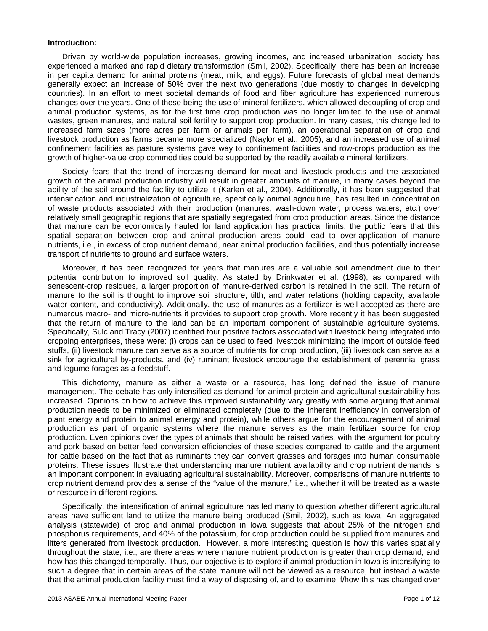#### **Introduction:**

Driven by world-wide population increases, growing incomes, and increased urbanization, society has experienced a marked and rapid dietary transformation (Smil, 2002). Specifically, there has been an increase in per capita demand for animal proteins (meat, milk, and eggs). Future forecasts of global meat demands generally expect an increase of 50% over the next two generations (due mostly to changes in developing countries). In an effort to meet societal demands of food and fiber agriculture has experienced numerous changes over the years. One of these being the use of mineral fertilizers, which allowed decoupling of crop and animal production systems, as for the first time crop production was no longer limited to the use of animal wastes, green manures, and natural soil fertility to support crop production. In many cases, this change led to increased farm sizes (more acres per farm or animals per farm), an operational separation of crop and livestock production as farms became more specialized (Naylor et al., 2005), and an increased use of animal confinement facilities as pasture systems gave way to confinement facilities and row-crops production as the growth of higher-value crop commodities could be supported by the readily available mineral fertilizers.

Society fears that the trend of increasing demand for meat and livestock products and the associated growth of the animal production industry will result in greater amounts of manure, in many cases beyond the ability of the soil around the facility to utilize it (Karlen et al., 2004). Additionally, it has been suggested that intensification and industrialization of agriculture, specifically animal agriculture, has resulted in concentration of waste products associated with their production (manures, wash-down water, process waters, etc.) over relatively small geographic regions that are spatially segregated from crop production areas. Since the distance that manure can be economically hauled for land application has practical limits, the public fears that this spatial separation between crop and animal production areas could lead to over-application of manure nutrients, i.e., in excess of crop nutrient demand, near animal production facilities, and thus potentially increase transport of nutrients to ground and surface waters.

Moreover, it has been recognized for years that manures are a valuable soil amendment due to their potential contribution to improved soil quality. As stated by Drinkwater et al. (1998), as compared with senescent-crop residues, a larger proportion of manure-derived carbon is retained in the soil. The return of manure to the soil is thought to improve soil structure, tilth, and water relations (holding capacity, available water content, and conductivity). Additionally, the use of manures as a fertilizer is well accepted as there are numerous macro- and micro-nutrients it provides to support crop growth. More recently it has been suggested that the return of manure to the land can be an important component of sustainable agriculture systems. Specifically, Sulc and Tracy (2007) identified four positive factors associated with livestock being integrated into cropping enterprises, these were: (i) crops can be used to feed livestock minimizing the import of outside feed stuffs, (ii) livestock manure can serve as a source of nutrients for crop production, (iii) livestock can serve as a sink for agricultural by-products, and (iv) ruminant livestock encourage the establishment of perennial grass and legume forages as a feedstuff.

This dichotomy, manure as either a waste or a resource, has long defined the issue of manure management. The debate has only intensified as demand for animal protein and agricultural sustainability has increased. Opinions on how to achieve this improved sustainability vary greatly with some arguing that animal production needs to be minimized or eliminated completely (due to the inherent inefficiency in conversion of plant energy and protein to animal energy and protein), while others argue for the encouragement of animal production as part of organic systems where the manure serves as the main fertilizer source for crop production. Even opinions over the types of animals that should be raised varies, with the argument for poultry and pork based on better feed conversion efficiencies of these species compared to cattle and the argument for cattle based on the fact that as ruminants they can convert grasses and forages into human consumable proteins. These issues illustrate that understanding manure nutrient availability and crop nutrient demands is an important component in evaluating agricultural sustainability. Moreover, comparisons of manure nutrients to crop nutrient demand provides a sense of the "value of the manure," i.e., whether it will be treated as a waste or resource in different regions.

Specifically, the intensification of animal agriculture has led many to question whether different agricultural areas have sufficient land to utilize the manure being produced (Smil, 2002), such as Iowa. An aggregated analysis (statewide) of crop and animal production in Iowa suggests that about 25% of the nitrogen and phosphorus requirements, and 40% of the potassium, for crop production could be supplied from manures and litters generated from livestock production. However, a more interesting question is how this varies spatially throughout the state, i.e., are there areas where manure nutrient production is greater than crop demand, and how has this changed temporally. Thus, our objective is to explore if animal production in Iowa is intensifying to such a degree that in certain areas of the state manure will not be viewed as a resource, but instead a waste that the animal production facility must find a way of disposing of, and to examine if/how this has changed over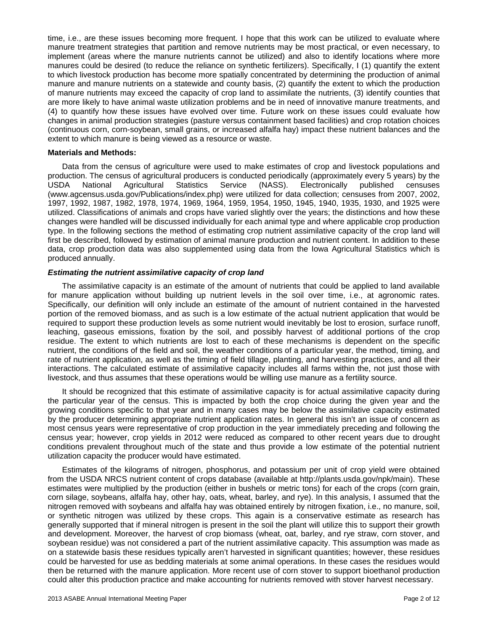time, i.e., are these issues becoming more frequent. I hope that this work can be utilized to evaluate where manure treatment strategies that partition and remove nutrients may be most practical, or even necessary, to implement (areas where the manure nutrients cannot be utilized) and also to identify locations where more manures could be desired (to reduce the reliance on synthetic fertilizers). Specifically, I (1) quantify the extent to which livestock production has become more spatially concentrated by determining the production of animal manure and manure nutrients on a statewide and county basis, (2) quantify the extent to which the production of manure nutrients may exceed the capacity of crop land to assimilate the nutrients, (3) identify counties that are more likely to have animal waste utilization problems and be in need of innovative manure treatments, and (4) to quantify how these issues have evolved over time. Future work on these issues could evaluate how changes in animal production strategies (pasture versus containment based facilities) and crop rotation choices (continuous corn, corn-soybean, small grains, or increased alfalfa hay) impact these nutrient balances and the extent to which manure is being viewed as a resource or waste.

#### **Materials and Methods:**

Data from the census of agriculture were used to make estimates of crop and livestock populations and production. The census of agricultural producers is conducted periodically (approximately every 5 years) by the USDA National Agricultural Statistics Service (NASS). Electronically published censuses (www.agcensus.usda.gov/Publications/index.php) were utilized for data collection; censuses from 2007, 2002, 1997, 1992, 1987, 1982, 1978, 1974, 1969, 1964, 1959, 1954, 1950, 1945, 1940, 1935, 1930, and 1925 were utilized. Classifications of animals and crops have varied slightly over the years; the distinctions and how these changes were handled will be discussed individually for each animal type and where applicable crop production type. In the following sections the method of estimating crop nutrient assimilative capacity of the crop land will first be described, followed by estimation of animal manure production and nutrient content. In addition to these data, crop production data was also supplemented using data from the Iowa Agricultural Statistics which is produced annually.

### *Estimating the nutrient assimilative capacity of crop land*

The assimilative capacity is an estimate of the amount of nutrients that could be applied to land available for manure application without building up nutrient levels in the soil over time, i.e., at agronomic rates. Specifically, our definition will only include an estimate of the amount of nutrient contained in the harvested portion of the removed biomass, and as such is a low estimate of the actual nutrient application that would be required to support these production levels as some nutrient would inevitably be lost to erosion, surface runoff, leaching, gaseous emissions, fixation by the soil, and possibly harvest of additional portions of the crop residue. The extent to which nutrients are lost to each of these mechanisms is dependent on the specific nutrient, the conditions of the field and soil, the weather conditions of a particular year, the method, timing, and rate of nutrient application, as well as the timing of field tillage, planting, and harvesting practices, and all their interactions. The calculated estimate of assimilative capacity includes all farms within the, not just those with livestock, and thus assumes that these operations would be willing use manure as a fertility source.

It should be recognized that this estimate of assimilative capacity is for actual assimilative capacity during the particular year of the census. This is impacted by both the crop choice during the given year and the growing conditions specific to that year and in many cases may be below the assimilative capacity estimated by the producer determining appropriate nutrient application rates. In general this isn't an issue of concern as most census years were representative of crop production in the year immediately preceding and following the census year; however, crop yields in 2012 were reduced as compared to other recent years due to drought conditions prevalent throughout much of the state and thus provide a low estimate of the potential nutrient utilization capacity the producer would have estimated.

Estimates of the kilograms of nitrogen, phosphorus, and potassium per unit of crop yield were obtained from the USDA NRCS nutrient content of crops database (available at http://plants.usda.gov/npk/main). These estimates were multiplied by the production (either in bushels or metric tons) for each of the crops (corn grain, corn silage, soybeans, alfalfa hay, other hay, oats, wheat, barley, and rye). In this analysis, I assumed that the nitrogen removed with soybeans and alfalfa hay was obtained entirely by nitrogen fixation, i.e., no manure, soil, or synthetic nitrogen was utilized by these crops. This again is a conservative estimate as research has generally supported that if mineral nitrogen is present in the soil the plant will utilize this to support their growth and development. Moreover, the harvest of crop biomass (wheat, oat, barley, and rye straw, corn stover, and soybean residue) was not considered a part of the nutrient assimilative capacity. This assumption was made as on a statewide basis these residues typically aren't harvested in significant quantities; however, these residues could be harvested for use as bedding materials at some animal operations. In these cases the residues would then be returned with the manure application. More recent use of corn stover to support bioethanol production could alter this production practice and make accounting for nutrients removed with stover harvest necessary.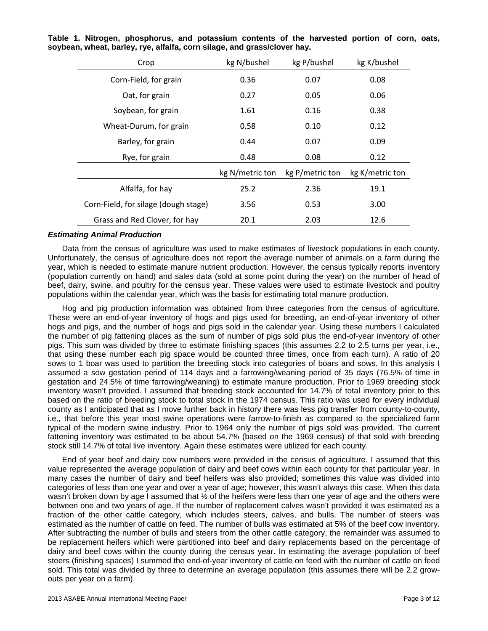| Crop                                 | kg N/bushel     | kg P/bushel     | kg K/bushel     |
|--------------------------------------|-----------------|-----------------|-----------------|
| Corn-Field, for grain                | 0.36            | 0.07            | 0.08            |
| Oat, for grain                       | 0.27            | 0.05            | 0.06            |
| Soybean, for grain                   | 1.61            | 0.16            | 0.38            |
| Wheat-Durum, for grain               | 0.58            | 0.10            | 0.12            |
| Barley, for grain                    | 0.44            | 0.07            | 0.09            |
| Rye, for grain                       | 0.48            | 0.08            | 0.12            |
|                                      | kg N/metric ton | kg P/metric ton | kg K/metric ton |
| Alfalfa, for hay                     | 25.2            | 2.36            | 19.1            |
| Corn-Field, for silage (dough stage) | 3.56            | 0.53            | 3.00            |
| Grass and Red Clover, for hay        | 20.1            | 2.03            | 12.6            |

**Table 1. Nitrogen, phosphorus, and potassium contents of the harvested portion of corn, oats, soybean, wheat, barley, rye, alfalfa, corn silage, and grass/clover hay.** 

#### *Estimating Animal Production*

Data from the census of agriculture was used to make estimates of livestock populations in each county. Unfortunately, the census of agriculture does not report the average number of animals on a farm during the year, which is needed to estimate manure nutrient production. However, the census typically reports inventory (population currently on hand) and sales data (sold at some point during the year) on the number of head of beef, dairy, swine, and poultry for the census year. These values were used to estimate livestock and poultry populations within the calendar year, which was the basis for estimating total manure production.

Hog and pig production information was obtained from three categories from the census of agriculture. These were an end-of-year inventory of hogs and pigs used for breeding, an end-of-year inventory of other hogs and pigs, and the number of hogs and pigs sold in the calendar year. Using these numbers I calculated the number of pig fattening places as the sum of number of pigs sold plus the end-of-year inventory of other pigs. This sum was divided by three to estimate finishing spaces (this assumes 2.2 to 2.5 turns per year, i.e., that using these number each pig space would be counted three times, once from each turn). A ratio of 20 sows to 1 boar was used to partition the breeding stock into categories of boars and sows. In this analysis I assumed a sow gestation period of 114 days and a farrowing/weaning period of 35 days (76.5% of time in gestation and 24.5% of time farrowing/weaning) to estimate manure production. Prior to 1969 breeding stock inventory wasn't provided. I assumed that breeding stock accounted for 14.7% of total inventory prior to this based on the ratio of breeding stock to total stock in the 1974 census. This ratio was used for every individual county as I anticipated that as I move further back in history there was less pig transfer from county-to-county, i.e., that before this year most swine operations were farrow-to-finish as compared to the specialized farm typical of the modern swine industry. Prior to 1964 only the number of pigs sold was provided. The current fattening inventory was estimated to be about 54.7% (based on the 1969 census) of that sold with breeding stock still 14.7% of total live inventory. Again these estimates were utilized for each county.

End of year beef and dairy cow numbers were provided in the census of agriculture. I assumed that this value represented the average population of dairy and beef cows within each county for that particular year. In many cases the number of dairy and beef heifers was also provided; sometimes this value was divided into categories of less than one year and over a year of age; however, this wasn't always this case. When this data wasn't broken down by age I assumed that ½ of the heifers were less than one year of age and the others were between one and two years of age. If the number of replacement calves wasn't provided it was estimated as a fraction of the other cattle category, which includes steers, calves, and bulls. The number of steers was estimated as the number of cattle on feed. The number of bulls was estimated at 5% of the beef cow inventory. After subtracting the number of bulls and steers from the other cattle category, the remainder was assumed to be replacement heifers which were partitioned into beef and dairy replacements based on the percentage of dairy and beef cows within the county during the census year. In estimating the average population of beef steers (finishing spaces) I summed the end-of-year inventory of cattle on feed with the number of cattle on feed sold. This total was divided by three to determine an average population (this assumes there will be 2.2 growouts per year on a farm).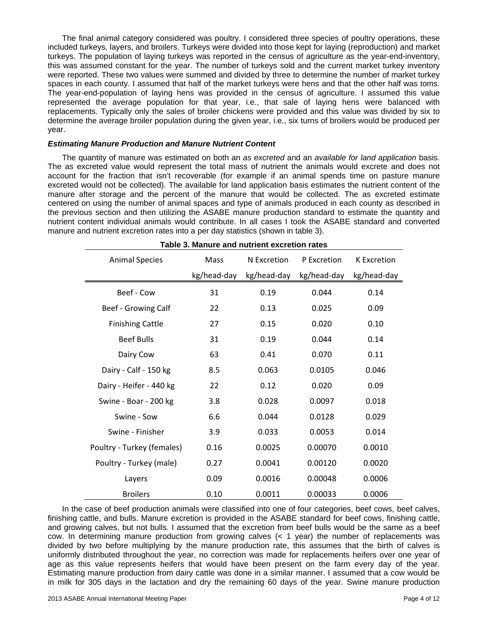The final animal category considered was poultry. I considered three species of poultry operations, these included turkeys, layers, and broilers. Turkeys were divided into those kept for laying (reproduction) and market turkeys. The population of laying turkeys was reported in the census of agriculture as the year-end-inventory, this was assumed constant for the year. The number of turkeys sold and the current market turkey inventory were reported. These two values were summed and divided by three to determine the number of market turkey spaces in each county. I assumed that half of the market turkeys were hens and that the other half was toms. The year-end-population of laying hens was provided in the census of agriculture. I assumed this value represented the average population for that year, i.e., that sale of laying hens were balanced with replacements. Typically only the sales of broiler chickens were provided and this value was divided by six to determine the average broiler population during the given year, i.e., six turns of broilers would be produced per year.

#### *Estimating Manure Production and Manure Nutrient Content*

The quantity of manure was estimated on both an *as excreted* and an *available for land application* basis. The as excreted value would represent the total mass of nutrient the animals would excrete and does not account for the fraction that isn't recoverable (for example if an animal spends time on pasture manure excreted would not be collected). The available for land application basis estimates the nutrient content of the manure after storage and the percent of the manure that would be collected. The as excreted estimate centered on using the number of animal spaces and type of animals produced in each county as described in the previous section and then utilizing the ASABE manure production standard to estimate the quantity and nutrient content individual animals would contribute. In all cases I took the ASABE standard and converted manure and nutrient excretion rates into a per day statistics (shown in table 3).

| Table 3. Manure and nutrient excretion rates |                     |             |             |                    |  |  |  |  |  |  |
|----------------------------------------------|---------------------|-------------|-------------|--------------------|--|--|--|--|--|--|
| <b>Animal Species</b>                        | N Excretion<br>Mass |             | P Excretion | <b>K</b> Excretion |  |  |  |  |  |  |
|                                              | kg/head-day         | kg/head-day | kg/head-day | kg/head-day        |  |  |  |  |  |  |
| Beef - Cow                                   | 31                  | 0.19        | 0.044       | 0.14               |  |  |  |  |  |  |
| Beef - Growing Calf                          | 22                  | 0.13        | 0.025       | 0.09               |  |  |  |  |  |  |
| <b>Finishing Cattle</b>                      | 27                  | 0.15        | 0.020       | 0.10               |  |  |  |  |  |  |
| <b>Beef Bulls</b>                            | 31                  | 0.19        | 0.044       | 0.14               |  |  |  |  |  |  |
| Dairy Cow                                    | 63                  | 0.41        | 0.070       | 0.11               |  |  |  |  |  |  |
| Dairy - Calf - 150 kg                        | 8.5                 | 0.063       | 0.0105      | 0.046              |  |  |  |  |  |  |
| Dairy - Heifer - 440 kg                      | 22                  | 0.12        | 0.020       | 0.09               |  |  |  |  |  |  |
| Swine - Boar - 200 kg                        | 3.8                 | 0.028       | 0.0097      | 0.018              |  |  |  |  |  |  |
| Swine - Sow                                  | 6.6                 | 0.044       | 0.0128      | 0.029              |  |  |  |  |  |  |
| Swine - Finisher                             | 3.9                 | 0.033       | 0.0053      | 0.014              |  |  |  |  |  |  |
| Poultry - Turkey (females)                   | 0.16                | 0.0025      | 0.00070     | 0.0010             |  |  |  |  |  |  |
| Poultry - Turkey (male)                      | 0.27                | 0.0041      | 0.00120     | 0.0020             |  |  |  |  |  |  |
| Layers                                       | 0.09                | 0.0016      | 0.00048     | 0.0006             |  |  |  |  |  |  |
| <b>Broilers</b>                              | 0.10                | 0.0011      | 0.00033     | 0.0006             |  |  |  |  |  |  |

In the case of beef production animals were classified into one of four categories, beef cows, beef calves, finishing cattle, and bulls. Manure excretion is provided in the ASABE standard for beef cows, finishing cattle, and growing calves, but not bulls. I assumed that the excretion from beef bulls would be the same as a beef cow. In determining manure production from growing calves (< 1 year) the number of replacements was divided by two before multiplying by the manure production rate, this assumes that the birth of calves is uniformly distributed throughout the year, no correction was made for replacements heifers over one year of age as this value represents heifers that would have been present on the farm every day of the year. Estimating manure production from dairy cattle was done in a similar manner. I assumed that a cow would be in milk for 305 days in the lactation and dry the remaining 60 days of the year. Swine manure production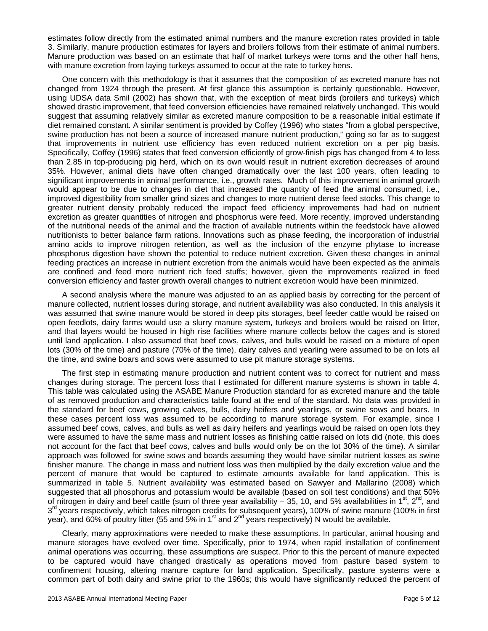estimates follow directly from the estimated animal numbers and the manure excretion rates provided in table 3. Similarly, manure production estimates for layers and broilers follows from their estimate of animal numbers. Manure production was based on an estimate that half of market turkeys were toms and the other half hens, with manure excretion from laying turkeys assumed to occur at the rate to turkey hens.

One concern with this methodology is that it assumes that the composition of as excreted manure has not changed from 1924 through the present. At first glance this assumption is certainly questionable. However, using UDSA data Smil (2002) has shown that, with the exception of meat birds (broilers and turkeys) which showed drastic improvement, that feed conversion efficiencies have remained relatively unchanged. This would suggest that assuming relatively similar as excreted manure composition to be a reasonable initial estimate if diet remained constant. A similar sentiment is provided by Coffey (1996) who states "from a global perspective, swine production has not been a source of increased manure nutrient production," going so far as to suggest that improvements in nutrient use efficiency has even reduced nutrient excretion on a per pig basis. Specifically, Coffey (1996) states that feed conversion efficiently of grow-finish pigs has changed from 4 to less than 2.85 in top-producing pig herd, which on its own would result in nutrient excretion decreases of around 35%. However, animal diets have often changed dramatically over the last 100 years, often leading to significant improvements in animal performance, i.e., growth rates. Much of this improvement in animal growth would appear to be due to changes in diet that increased the quantity of feed the animal consumed, i.e., improved digestibility from smaller grind sizes and changes to more nutrient dense feed stocks. This change to greater nutrient density probably reduced the impact feed efficiency improvements had had on nutrient excretion as greater quantities of nitrogen and phosphorus were feed. More recently, improved understanding of the nutritional needs of the animal and the fraction of available nutrients within the feedstock have allowed nutritionists to better balance farm rations. Innovations such as phase feeding, the incorporation of industrial amino acids to improve nitrogen retention, as well as the inclusion of the enzyme phytase to increase phosphorus digestion have shown the potential to reduce nutrient excretion. Given these changes in animal feeding practices an increase in nutrient excretion from the animals would have been expected as the animals are confined and feed more nutrient rich feed stuffs; however, given the improvements realized in feed conversion efficiency and faster growth overall changes to nutrient excretion would have been minimized.

A second analysis where the manure was adjusted to an as applied basis by correcting for the percent of manure collected, nutrient losses during storage, and nutrient availability was also conducted. In this analysis it was assumed that swine manure would be stored in deep pits storages, beef feeder cattle would be raised on open feedlots, dairy farms would use a slurry manure system, turkeys and broilers would be raised on litter, and that layers would be housed in high rise facilities where manure collects below the cages and is stored until land application. I also assumed that beef cows, calves, and bulls would be raised on a mixture of open lots (30% of the time) and pasture (70% of the time), dairy calves and yearling were assumed to be on lots all the time, and swine boars and sows were assumed to use pit manure storage systems.

The first step in estimating manure production and nutrient content was to correct for nutrient and mass changes during storage. The percent loss that I estimated for different manure systems is shown in table 4. This table was calculated using the ASABE Manure Production standard for as excreted manure and the table of as removed production and characteristics table found at the end of the standard. No data was provided in the standard for beef cows, growing calves, bulls, dairy heifers and yearlings, or swine sows and boars. In these cases percent loss was assumed to be according to manure storage system. For example, since I assumed beef cows, calves, and bulls as well as dairy heifers and yearlings would be raised on open lots they were assumed to have the same mass and nutrient losses as finishing cattle raised on lots did (note, this does not account for the fact that beef cows, calves and bulls would only be on the lot 30% of the time). A similar approach was followed for swine sows and boards assuming they would have similar nutrient losses as swine finisher manure. The change in mass and nutrient loss was then multiplied by the daily excretion value and the percent of manure that would be captured to estimate amounts available for land application. This is summarized in table 5. Nutrient availability was estimated based on Sawyer and Mallarino (2008) which suggested that all phosphorus and potassium would be available (based on soil test conditions) and that 50% of nitrogen in dairy and beef cattle (sum of three year availability – 35, 10, and 5% availabilities in 1<sup>st</sup>, 2<sup>nd</sup>, and  $3<sup>rd</sup>$  years respectively, which takes nitrogen credits for subsequent years), 100% of swine manure (100% in first year), and 60% of poultry litter (55 and 5% in 1<sup>st</sup> and 2<sup>nd</sup> years respectively) N would be available.

Clearly, many approximations were needed to make these assumptions. In particular, animal housing and manure storages have evolved over time. Specifically, prior to 1974, when rapid installation of confinement animal operations was occurring, these assumptions are suspect. Prior to this the percent of manure expected to be captured would have changed drastically as operations moved from pasture based system to confinement housing, altering manure capture for land application. Specifically, pasture systems were a common part of both dairy and swine prior to the 1960s; this would have significantly reduced the percent of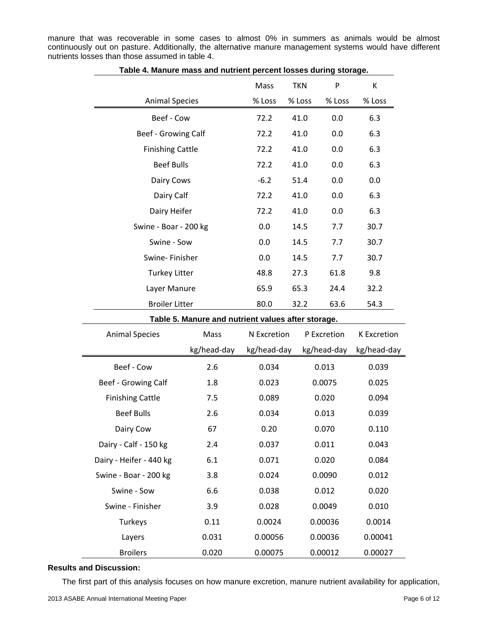manure that was recoverable in some cases to almost 0% in summers as animals would be almost continuously out on pasture. Additionally, the alternative manure management systems would have different nutrients losses than those assumed in table 4.

|                                                    |              | Mass                  | <b>TKN</b>              | P           | К                  |  |
|----------------------------------------------------|--------------|-----------------------|-------------------------|-------------|--------------------|--|
| <b>Animal Species</b>                              |              | % Loss                | % Loss                  | % Loss      | % Loss             |  |
| Beef - Cow                                         |              | 72.2                  | 41.0                    | 0.0         | 6.3                |  |
| Beef - Growing Calf                                |              | 72.2                  | 41.0                    | 0.0         | 6.3                |  |
| <b>Finishing Cattle</b>                            |              | 72.2                  | 41.0                    | 0.0         | 6.3                |  |
| <b>Beef Bulls</b>                                  |              | 72.2                  | 41.0                    | 0.0         | 6.3                |  |
|                                                    | Dairy Cows   |                       | 51.4                    | 0.0         | 0.0                |  |
| Dairy Calf                                         |              | 72.2                  | 41.0                    | 0.0         | 6.3                |  |
| Dairy Heifer                                       | 72.2         | 41.0                  | 0.0                     | 6.3         |                    |  |
| Swine - Boar - 200 kg                              |              | 0.0                   | 14.5                    | 7.7         | 30.7               |  |
| Swine - Sow                                        |              | 0.0                   | 14.5                    | 7.7         | 30.7               |  |
| Swine-Finisher                                     |              | 0.0                   | 14.5                    | 7.7         | 30.7               |  |
| <b>Turkey Litter</b>                               |              | 48.8                  | 27.3                    | 61.8        | 9.8                |  |
| Layer Manure                                       |              | 65.9                  | 65.3                    | 24.4        | 32.2               |  |
| <b>Broiler Litter</b>                              |              | 80.0                  | 32.2                    | 63.6        | 54.3               |  |
| Table 5. Manure and nutrient values after storage. |              |                       |                         |             |                    |  |
| <b>Animal Species</b>                              | Mass         | N Excretion           |                         | P Excretion | <b>K</b> Excretion |  |
|                                                    | kg/head-day  | kg/head-day           |                         | kg/head-day | kg/head-day        |  |
| Beef - Cow                                         | 2.6          | 0.034                 |                         | 0.013       | 0.039              |  |
| Beef - Growing Calf                                | 1.8          | 0.023                 |                         | 0.0075      | 0.025              |  |
| <b>Finishing Cattle</b>                            | 7.5          | 0.089                 |                         | 0.020       | 0.094              |  |
| <b>Beef Bulls</b>                                  | 2.6<br>0.034 |                       |                         | 0.013       | 0.039              |  |
| Dairy Cow                                          | 67           | 0.20                  | 0.070<br>0.037<br>0.011 |             | 0.110              |  |
| Dairy - Calf - 150 kg                              | 2.4          |                       |                         |             | 0.043              |  |
| Dairy - Heifer - 440 kg                            | 6.1          | 0.071<br>3.8<br>0.024 |                         | 0.020       | 0.084              |  |
| Swine - Boar - 200 kg                              |              |                       |                         | 0.0090      | 0.012              |  |
| Swine - Sow                                        | 6.6          | 0.038                 |                         | 0.012       | 0.020              |  |
| Swine - Finisher                                   | 3.9          | 0.028                 |                         | 0.0049      | 0.010              |  |
| Turkeys                                            | 0.11         | 0.0024                |                         | 0.00036     | 0.0014             |  |
| Layers                                             | 0.031        | 0.00056               |                         | 0.00036     | 0.00041            |  |
| <b>Broilers</b>                                    | 0.020        | 0.00075               |                         | 0.00012     | 0.00027            |  |

## **Table 4. Manure mass and nutrient percent losses during storage.**

## **Results and Discussion:**

The first part of this analysis focuses on how manure excretion, manure nutrient availability for application,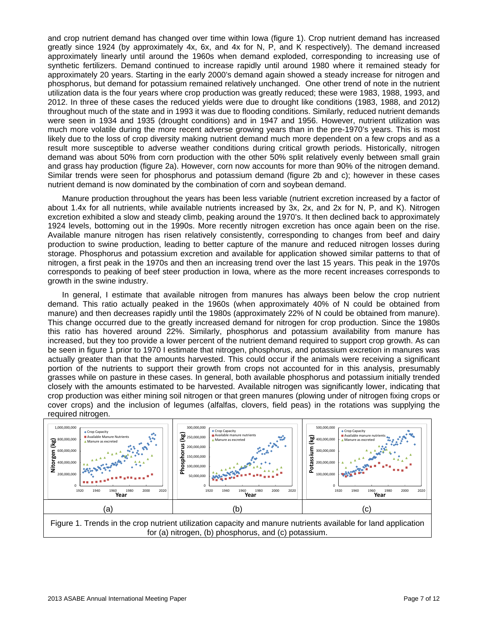and crop nutrient demand has changed over time within Iowa (figure 1). Crop nutrient demand has increased greatly since 1924 (by approximately 4x, 6x, and 4x for N, P, and K respectively). The demand increased approximately linearly until around the 1960s when demand exploded, corresponding to increasing use of synthetic fertilizers. Demand continued to increase rapidly until around 1980 where it remained steady for approximately 20 years. Starting in the early 2000's demand again showed a steady increase for nitrogen and phosphorus, but demand for potassium remained relatively unchanged. One other trend of note in the nutrient utilization data is the four years where crop production was greatly reduced; these were 1983, 1988, 1993, and 2012. In three of these cases the reduced yields were due to drought like conditions (1983, 1988, and 2012) throughout much of the state and in 1993 it was due to flooding conditions. Similarly, reduced nutrient demands were seen in 1934 and 1935 (drought conditions) and in 1947 and 1956. However, nutrient utilization was much more volatile during the more recent adverse growing years than in the pre-1970's years. This is most likely due to the loss of crop diversity making nutrient demand much more dependent on a few crops and as a result more susceptible to adverse weather conditions during critical growth periods. Historically, nitrogen demand was about 50% from corn production with the other 50% split relatively evenly between small grain and grass hay production (figure 2a). However, corn now accounts for more than 90% of the nitrogen demand. Similar trends were seen for phosphorus and potassium demand (figure 2b and c); however in these cases nutrient demand is now dominated by the combination of corn and soybean demand.

Manure production throughout the years has been less variable (nutrient excretion increased by a factor of about 1.4x for all nutrients, while available nutrients increased by 3x, 2x, and 2x for N, P, and K). Nitrogen excretion exhibited a slow and steady climb, peaking around the 1970's. It then declined back to approximately 1924 levels, bottoming out in the 1990s. More recently nitrogen excretion has once again been on the rise. Available manure nitrogen has risen relatively consistently, corresponding to changes from beef and dairy production to swine production, leading to better capture of the manure and reduced nitrogen losses during storage. Phosphorus and potassium excretion and available for application showed similar patterns to that of nitrogen, a first peak in the 1970s and then an increasing trend over the last 15 years. This peak in the 1970s corresponds to peaking of beef steer production in Iowa, where as the more recent increases corresponds to growth in the swine industry.

In general, I estimate that available nitrogen from manures has always been below the crop nutrient demand. This ratio actually peaked in the 1960s (when approximately 40% of N could be obtained from manure) and then decreases rapidly until the 1980s (approximately 22% of N could be obtained from manure). This change occurred due to the greatly increased demand for nitrogen for crop production. Since the 1980s this ratio has hovered around 22%. Similarly, phosphorus and potassium availability from manure has increased, but they too provide a lower percent of the nutrient demand required to support crop growth. As can be seen in figure 1 prior to 1970 I estimate that nitrogen, phosphorus, and potassium excretion in manures was actually greater than that the amounts harvested. This could occur if the animals were receiving a significant portion of the nutrients to support their growth from crops not accounted for in this analysis, presumably grasses while on pasture in these cases. In general, both available phosphorus and potassium initially trended closely with the amounts estimated to be harvested. Available nitrogen was significantly lower, indicating that crop production was either mining soil nitrogen or that green manures (plowing under of nitrogen fixing crops or cover crops) and the inclusion of legumes (alfalfas, clovers, field peas) in the rotations was supplying the required nitrogen.

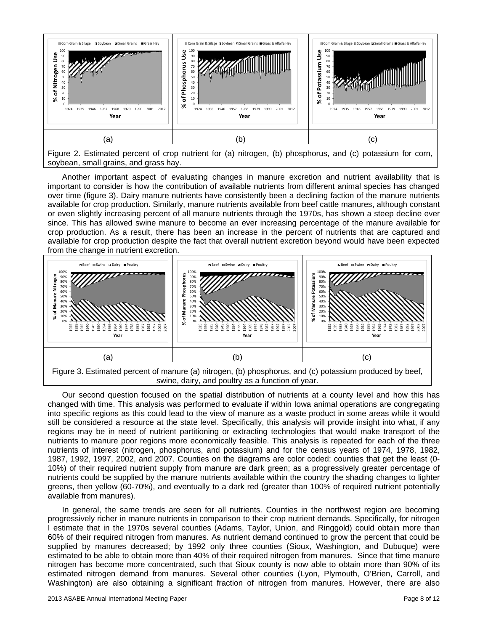

Figure 2. Estimated percent of crop nutrient for (a) nitrogen, (b) phosphorus, and (c) potassium for corn, soybean, small grains, and grass hay.

Another important aspect of evaluating changes in manure excretion and nutrient availability that is important to consider is how the contribution of available nutrients from different animal species has changed over time (figure 3). Dairy manure nutrients have consistently been a declining faction of the manure nutrients available for crop production. Similarly, manure nutrients available from beef cattle manures, although constant or even slightly increasing percent of all manure nutrients through the 1970s, has shown a steep decline ever since. This has allowed swine manure to become an ever increasing percentage of the manure available for crop production. As a result, there has been an increase in the percent of nutrients that are captured and available for crop production despite the fact that overall nutrient excretion beyond would have been expected from the change in nutrient excretion.



swine, dairy, and poultry as a function of year.

Our second question focused on the spatial distribution of nutrients at a county level and how this has changed with time. This analysis was performed to evaluate if within Iowa animal operations are congregating into specific regions as this could lead to the view of manure as a waste product in some areas while it would still be considered a resource at the state level. Specifically, this analysis will provide insight into what, if any regions may be in need of nutrient partitioning or extracting technologies that would make transport of the nutrients to manure poor regions more economically feasible. This analysis is repeated for each of the three nutrients of interest (nitrogen, phosphorus, and potassium) and for the census years of 1974, 1978, 1982, 1987, 1992, 1997, 2002, and 2007. Counties on the diagrams are color coded: counties that get the least (0- 10%) of their required nutrient supply from manure are dark green; as a progressively greater percentage of nutrients could be supplied by the manure nutrients available within the country the shading changes to lighter greens, then yellow (60-70%), and eventually to a dark red (greater than 100% of required nutrient potentially available from manures).

In general, the same trends are seen for all nutrients. Counties in the northwest region are becoming progressively richer in manure nutrients in comparison to their crop nutrient demands. Specifically, for nitrogen I estimate that in the 1970s several counties (Adams, Taylor, Union, and Ringgold) could obtain more than 60% of their required nitrogen from manures. As nutrient demand continued to grow the percent that could be supplied by manures decreased; by 1992 only three counties (Sioux, Washington, and Dubuque) were estimated to be able to obtain more than 40% of their required nitrogen from manures. Since that time manure nitrogen has become more concentrated, such that Sioux county is now able to obtain more than 90% of its estimated nitrogen demand from manures. Several other counties (Lyon, Plymouth, O'Brien, Carroll, and Washington) are also obtaining a significant fraction of nitrogen from manures. However, there are also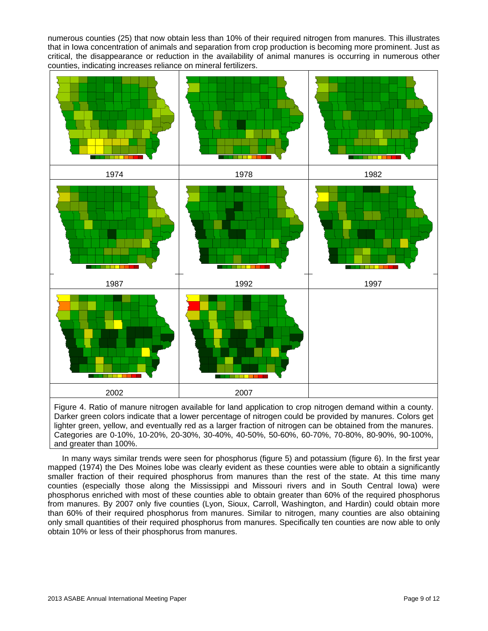numerous counties (25) that now obtain less than 10% of their required nitrogen from manures. This illustrates that in Iowa concentration of animals and separation from crop production is becoming more prominent. Just as critical, the disappearance or reduction in the availability of animal manures is occurring in numerous other counties, indicating increases reliance on mineral fertilizers.



Figure 4. Ratio of manure nitrogen available for land application to crop nitrogen demand within a county. Darker green colors indicate that a lower percentage of nitrogen could be provided by manures. Colors get lighter green, yellow, and eventually red as a larger fraction of nitrogen can be obtained from the manures. Categories are 0-10%, 10-20%, 20-30%, 30-40%, 40-50%, 50-60%, 60-70%, 70-80%, 80-90%, 90-100%, and greater than 100%.

In many ways similar trends were seen for phosphorus (figure 5) and potassium (figure 6). In the first year mapped (1974) the Des Moines lobe was clearly evident as these counties were able to obtain a significantly smaller fraction of their required phosphorus from manures than the rest of the state. At this time many counties (especially those along the Mississippi and Missouri rivers and in South Central Iowa) were phosphorus enriched with most of these counties able to obtain greater than 60% of the required phosphorus from manures. By 2007 only five counties (Lyon, Sioux, Carroll, Washington, and Hardin) could obtain more than 60% of their required phosphorus from manures. Similar to nitrogen, many counties are also obtaining only small quantities of their required phosphorus from manures. Specifically ten counties are now able to only obtain 10% or less of their phosphorus from manures.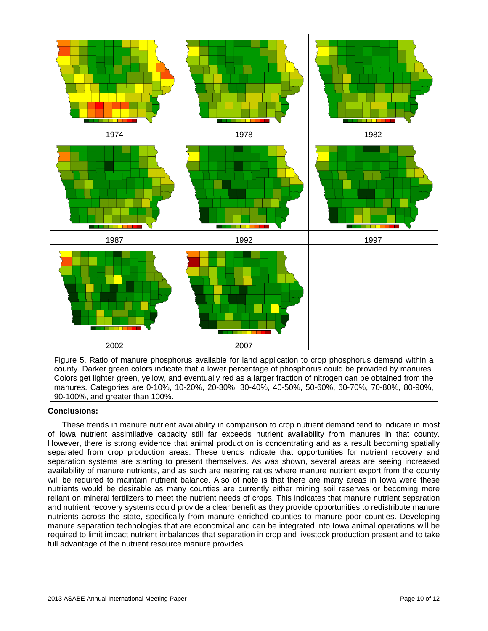

Figure 5. Ratio of manure phosphorus available for land application to crop phosphorus demand within a county. Darker green colors indicate that a lower percentage of phosphorus could be provided by manures. Colors get lighter green, yellow, and eventually red as a larger fraction of nitrogen can be obtained from the manures. Categories are 0-10%, 10-20%, 20-30%, 30-40%, 40-50%, 50-60%, 60-70%, 70-80%, 80-90%, 90-100%, and greater than 100%.

## **Conclusions:**

These trends in manure nutrient availability in comparison to crop nutrient demand tend to indicate in most of Iowa nutrient assimilative capacity still far exceeds nutrient availability from manures in that county. However, there is strong evidence that animal production is concentrating and as a result becoming spatially separated from crop production areas. These trends indicate that opportunities for nutrient recovery and separation systems are starting to present themselves. As was shown, several areas are seeing increased availability of manure nutrients, and as such are nearing ratios where manure nutrient export from the county will be required to maintain nutrient balance. Also of note is that there are many areas in Iowa were these nutrients would be desirable as many counties are currently either mining soil reserves or becoming more reliant on mineral fertilizers to meet the nutrient needs of crops. This indicates that manure nutrient separation and nutrient recovery systems could provide a clear benefit as they provide opportunities to redistribute manure nutrients across the state, specifically from manure enriched counties to manure poor counties. Developing manure separation technologies that are economical and can be integrated into Iowa animal operations will be required to limit impact nutrient imbalances that separation in crop and livestock production present and to take full advantage of the nutrient resource manure provides.